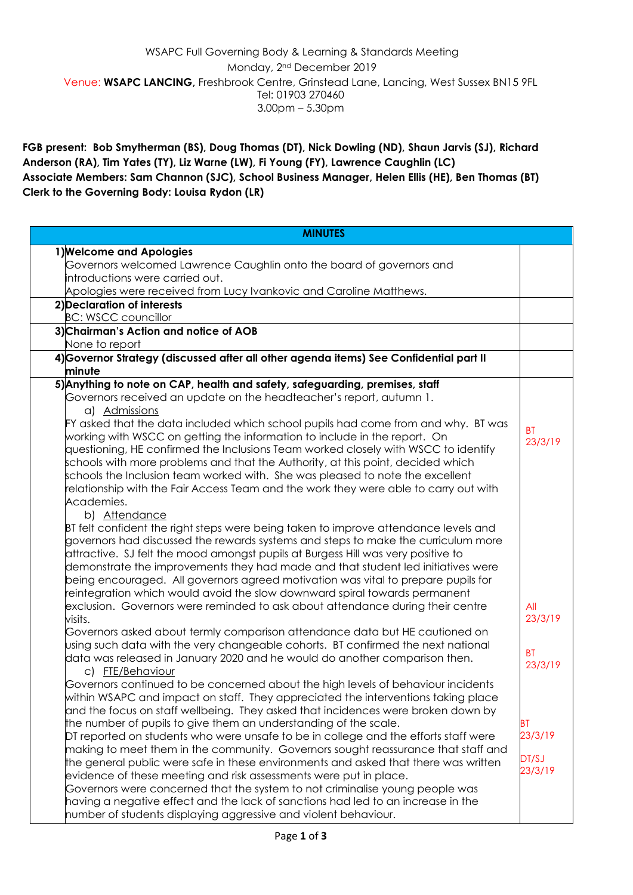## WSAPC Full Governing Body & Learning & Standards Meeting Monday, 2nd December 2019 Venue: **WSAPC LANCING,** Freshbrook Centre, Grinstead Lane, Lancing, West Sussex BN15 9FL Tel: 01903 270460 3.00pm – 5.30pm

**FGB present: Bob Smytherman (BS), Doug Thomas (DT), Nick Dowling (ND), Shaun Jarvis (SJ), Richard Anderson (RA), Tim Yates (TY), Liz Warne (LW), Fi Young (FY), Lawrence Caughlin (LC) Associate Members: Sam Channon (SJC), School Business Manager, Helen Ellis (HE), Ben Thomas (BT) Clerk to the Governing Body: Louisa Rydon (LR)**

| <b>MINUTES</b>                                                                             |                |
|--------------------------------------------------------------------------------------------|----------------|
| 1) Welcome and Apologies                                                                   |                |
| $\operatorname{\sf G}$ overnors welcomed Lawrence Caughlin onto the board of governors and |                |
| introductions were carried out.                                                            |                |
| Apologies were received from Lucy Ivankovic and Caroline Matthews.                         |                |
| 2) Declaration of interests                                                                |                |
| <b>BC: WSCC councillor</b>                                                                 |                |
| 3) Chairman's Action and notice of AOB                                                     |                |
| None to report                                                                             |                |
| 4) Governor Strategy (discussed after all other agenda items) See Confidential part II     |                |
| minute                                                                                     |                |
| 5) Anything to note on CAP, health and safety, safeguarding, premises, staff               |                |
| Governors received an update on the headteacher's report, autumn 1.                        |                |
| a) Admissions                                                                              |                |
| FY asked that the data included which school pupils had come from and why. BT was          |                |
| working with WSCC on getting the information to include in the report. On                  | <b>BT</b>      |
| questioning, HE confirmed the Inclusions Team worked closely with WSCC to identify         | 23/3/19        |
| schools with more problems and that the Authority, at this point, decided which            |                |
| schools the Inclusion team worked with. She was pleased to note the excellent              |                |
| relationship with the Fair Access Team and the work they were able to carry out with       |                |
| Academies.                                                                                 |                |
| b) Attendance                                                                              |                |
| BT felt confident the right steps were being taken to improve attendance levels and        |                |
| governors had discussed the rewards systems and steps to make the curriculum more          |                |
|                                                                                            |                |
| attractive. SJ felt the mood amongst pupils at Burgess Hill was very positive to           |                |
| demonstrate the improvements they had made and that student led initiatives were           |                |
| being encouraged. All governors agreed motivation was vital to prepare pupils for          |                |
| reintegration which would avoid the slow downward spiral towards permanent                 |                |
| exclusion. Governors were reminded to ask about attendance during their centre             | All<br>23/3/19 |
| visits.                                                                                    |                |
| Governors asked about termly comparison attendance data but HE cautioned on                |                |
| using such data with the very changeable cohorts. BT confirmed the next national           | <b>BT</b>      |
| data was released in January 2020 and he would do another comparison then.                 | 23/3/19        |
| c) FTE/Behaviour                                                                           |                |
| Governors continued to be concerned about the high levels of behaviour incidents           |                |
| within WSAPC and impact on staff. They appreciated the interventions taking place          |                |
| and the focus on staff wellbeing. They asked that incidences were broken down by           |                |
| the number of pupils to give them an understanding of the scale.                           | BT             |
| DT reported on students who were unsafe to be in college and the efforts staff were        | 23/3/19        |
| making to meet them in the community. Governors sought reassurance that staff and          | DT/SJ          |
| the general public were safe in these environments and asked that there was written        | 23/3/19        |
| evidence of these meeting and risk assessments were put in place.                          |                |
| Governors were concerned that the system to not criminalise young people was               |                |
| having a negative effect and the lack of sanctions had led to an increase in the           |                |
| number of students displaying aggressive and violent behaviour.                            |                |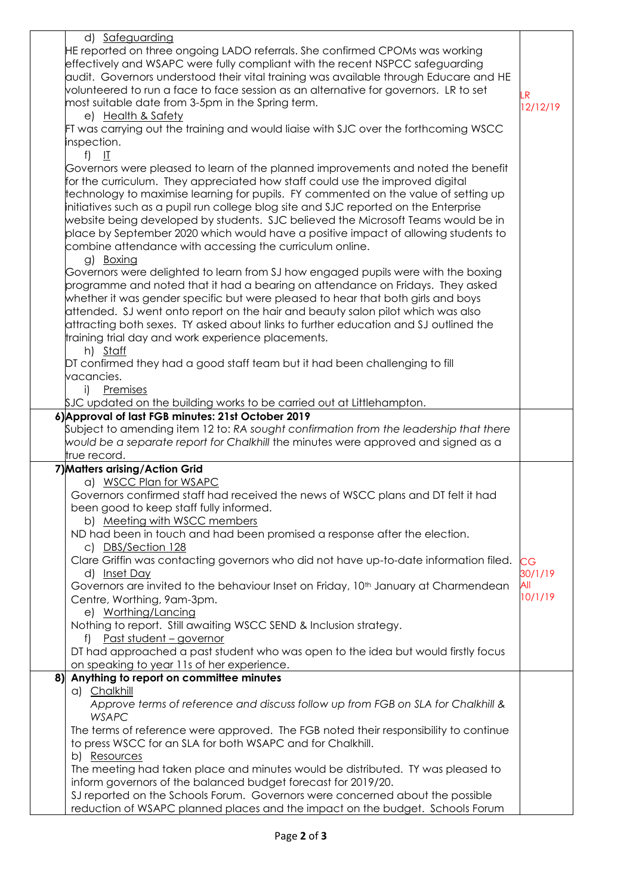| d) Safeguarding                                                                                                                                                     |                |
|---------------------------------------------------------------------------------------------------------------------------------------------------------------------|----------------|
| HE reported on three ongoing LADO referrals. She confirmed CPOMs was working                                                                                        |                |
| effectively and WSAPC were fully compliant with the recent NSPCC safeguarding                                                                                       |                |
| audit. Governors understood their vital training was available through Educare and HE                                                                               |                |
| volunteered to run a face to face session as an alternative for governors. LR to set                                                                                | .R             |
| most suitable date from 3-5pm in the Spring term.                                                                                                                   | 12/12/19       |
| e) Health & Safety                                                                                                                                                  |                |
| FT was carrying out the training and would liaise with SJC over the forthcoming WSCC                                                                                |                |
| inspection.                                                                                                                                                         |                |
| f) $II$                                                                                                                                                             |                |
| Governors were pleased to learn of the planned improvements and noted the benefit                                                                                   |                |
| for the curriculum. They appreciated how staff could use the improved digital                                                                                       |                |
| technology to maximise learning for pupils. FY commented on the value of setting up                                                                                 |                |
| initiatives such as a pupil run college blog site and SJC reported on the Enterprise                                                                                |                |
| website being developed by students. SJC believed the Microsoft Teams would be in                                                                                   |                |
| place by September 2020 which would have a positive impact of allowing students to                                                                                  |                |
| combine attendance with accessing the curriculum online.                                                                                                            |                |
| g) Boxing                                                                                                                                                           |                |
| Governors were delighted to learn from SJ how engaged pupils were with the boxing                                                                                   |                |
| programme and noted that it had a bearing on attendance on Fridays. They asked                                                                                      |                |
| whether it was gender specific but were pleased to hear that both girls and boys<br>attended. SJ went onto report on the hair and beauty salon pilot which was also |                |
| attracting both sexes. TY asked about links to further education and SJ outlined the                                                                                |                |
| training trial day and work experience placements.                                                                                                                  |                |
| h) Staff                                                                                                                                                            |                |
| DT confirmed they had a good staff team but it had been challenging to fill                                                                                         |                |
| vacancies.                                                                                                                                                          |                |
| i) Premises                                                                                                                                                         |                |
| $\beta$ JC updated on the building works to be carried out at Littlehampton.                                                                                        |                |
| 6) Approval of last FGB minutes: 21st October 2019                                                                                                                  |                |
| Subject to amending item 12 to: RA sought confirmation from the leadership that there                                                                               |                |
| would be a separate report for Chalkhill the minutes were approved and signed as a                                                                                  |                |
| true record.                                                                                                                                                        |                |
| 7) Matters arising/Action Grid                                                                                                                                      |                |
| a) WSCC Plan for WSAPC                                                                                                                                              |                |
| Governors confirmed staff had received the news of WSCC plans and DT felt it had                                                                                    |                |
| been good to keep staff fully informed.                                                                                                                             |                |
| b) Meeting with WSCC members                                                                                                                                        |                |
| ND had been in touch and had been promised a response after the election.                                                                                           |                |
| c) DBS/Section 128                                                                                                                                                  |                |
| Clare Griffin was contacting governors who did not have up-to-date information filed.                                                                               | CG             |
| d) Inset Day                                                                                                                                                        | 30/1/19<br>All |
| Governors are invited to the behaviour Inset on Friday, 10 <sup>th</sup> January at Charmendean                                                                     | 10/1/19        |
| Centre, Worthing, 9am-3pm.<br>e) Worthing/Lancing                                                                                                                   |                |
| Nothing to report. Still awaiting WSCC SEND & Inclusion strategy.                                                                                                   |                |
| Past student - governor<br>f)                                                                                                                                       |                |
| DT had approached a past student who was open to the idea but would firstly focus                                                                                   |                |
| on speaking to year 11s of her experience.                                                                                                                          |                |
| Anything to report on committee minutes<br>8)                                                                                                                       |                |
| a) Chalkhill                                                                                                                                                        |                |
| Approve terms of reference and discuss follow up from FGB on SLA for Chalkhill &                                                                                    |                |
| <b>WSAPC</b>                                                                                                                                                        |                |
| The terms of reference were approved. The FGB noted their responsibility to continue                                                                                |                |
| to press WSCC for an SLA for both WSAPC and for Chalkhill.                                                                                                          |                |
| b) Resources                                                                                                                                                        |                |
| The meeting had taken place and minutes would be distributed. TY was pleased to                                                                                     |                |
| inform governors of the balanced budget forecast for 2019/20.                                                                                                       |                |
| SJ reported on the Schools Forum. Governors were concerned about the possible                                                                                       |                |
| reduction of WSAPC planned places and the impact on the budget. Schools Forum                                                                                       |                |